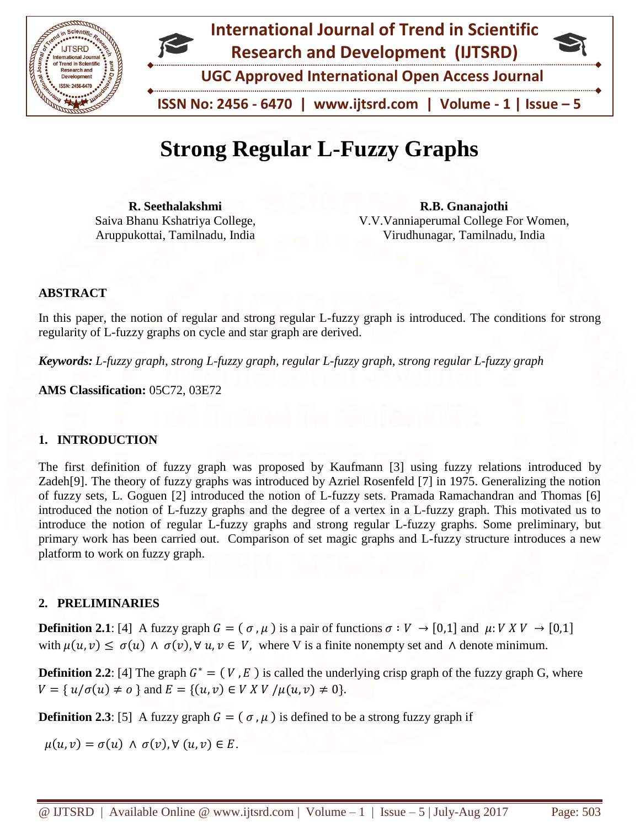

# **Strong Regular L-Fuzzy Graphs**

**R. Seethalakshmi** Saiva Bhanu Kshatriya College, Aruppukottai, Tamilnadu, India

**R.B. Gnanajothi** V.V.Vanniaperumal College For Women, Virudhunagar, Tamilnadu, India

## **ABSTRACT**

In this paper, the notion of regular and strong regular L-fuzzy graph is introduced. The conditions for strong regularity of L-fuzzy graphs on cycle and star graph are derived.

*Keywords: L-fuzzy graph, strong L-fuzzy graph, regular L-fuzzy graph, strong regular L-fuzzy graph*

**AMS Classification:** 05C72, 03E72

#### **1. INTRODUCTION**

The first definition of fuzzy graph was proposed by Kaufmann [3] using fuzzy relations introduced by Zadeh[9]. The theory of fuzzy graphs was introduced by Azriel Rosenfeld [7] in 1975. Generalizing the notion of fuzzy sets, L. Goguen [2] introduced the notion of L-fuzzy sets. Pramada Ramachandran and Thomas [6] introduced the notion of L-fuzzy graphs and the degree of a vertex in a L-fuzzy graph. This motivated us to introduce the notion of regular L-fuzzy graphs and strong regular L-fuzzy graphs. Some preliminary, but primary work has been carried out. Comparison of set magic graphs and L-fuzzy structure introduces a new platform to work on fuzzy graph.

## **2. PRELIMINARIES**

**Definition 2.1**: [4] A fuzzy graph  $G = (\sigma, \mu)$  is a pair of functions  $\sigma : V \to [0,1]$  and  $\mu : V X V \to [0,1]$ with  $\mu(u, v) \leq \sigma(u) \wedge \sigma(v)$ ,  $\forall u, v \in V$ , where V is a finite nonempty set and  $\wedge$  denote minimum.

**Definition 2.2**: [4] The graph  $G^* = (V, E)$  is called the underlying crisp graph of the fuzzy graph G, where  $V = \{ u/\sigma(u) \neq o \}$  and  $E = \{(u, v) \in V \times V \mid \mu(u, v) \neq 0 \}.$ 

**Definition 2.3**: [5] A fuzzy graph  $G = (\sigma, \mu)$  is defined to be a strong fuzzy graph if

 $\mu(u, v) = \sigma(u) \wedge \sigma(v), \forall (u, v) \in E.$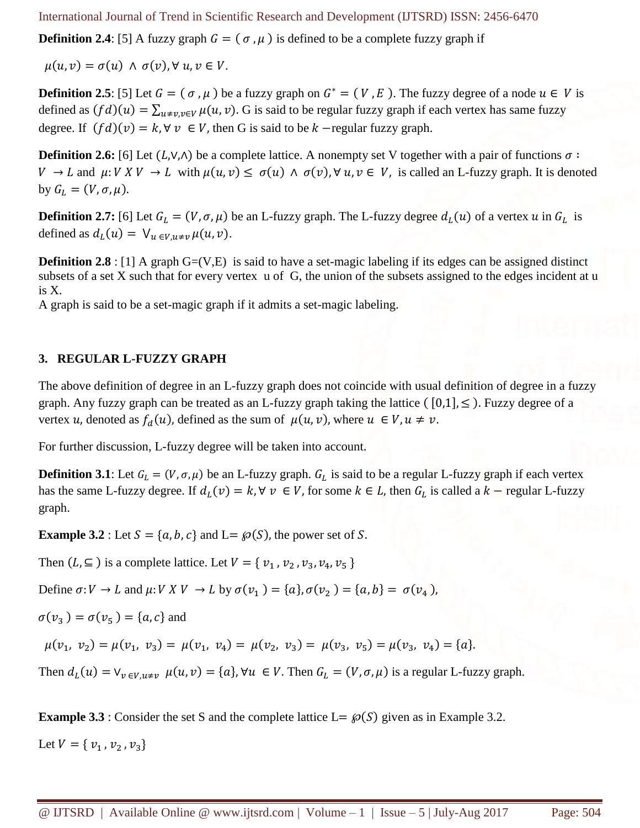**Definition 2.4**: [5] A fuzzy graph  $G = (\sigma, \mu)$  is defined to be a complete fuzzy graph if

 $u(u, v) = \sigma(u) \wedge \sigma(v)$ ,  $\forall u, v \in V$ .

**Definition 2.5**: [5] Let  $G = (\sigma, \mu)$  be a fuzzy graph on  $G^* = (V, E)$ . The fuzzy degree of a node  $u \in V$  is defined as  $(fd)(u) = \sum_{u \neq v, v \in V} \mu(u, v)$ . G is said to be regular fuzzy graph if each vertex has same fuzzy degree. If  $(fd)(v) = k, \forall v \in V$ , then G is said to be  $k$  –regular fuzzy graph.

**Definition 2.6:** [6] Let  $(L, V, \Lambda)$  be a complete lattice. A nonempty set V together with a pair of functions  $\sigma$ :  $V \to L$  and  $\mu: V X V \to L$  with  $\mu(u, v) \leq \sigma(u) \land \sigma(v)$ ,  $\forall u, v \in V$ , is called an L-fuzzy graph. It is denoted by  $G_L = (V, \sigma, \mu)$ .

**Definition 2.7:** [6] Let  $G_L = (V, \sigma, \mu)$  be an L-fuzzy graph. The L-fuzzy degree  $d_L(u)$  of a vertex  $u$  in  $G_L$  is defined as  $d_L(u) = \bigvee_{u \in V, u \neq v} \mu(u, v)$ .

**Definition 2.8** : [1] A graph G=(V,E) is said to have a set-magic labeling if its edges can be assigned distinct subsets of a set X such that for every vertex u of G, the union of the subsets assigned to the edges incident at u is X.

A graph is said to be a set-magic graph if it admits a set-magic labeling.

#### **3. REGULAR L-FUZZY GRAPH**

The above definition of degree in an L-fuzzy graph does not coincide with usual definition of degree in a fuzzy graph. Any fuzzy graph can be treated as an L-fuzzy graph taking the lattice ( $[0,1]$ ,  $\leq$ ). Fuzzy degree of a vertex *u*, denoted as  $f_d(u)$ , defined as the sum of  $\mu(u, v)$ , where  $u \in V$ ,  $u \neq v$ .

For further discussion, L-fuzzy degree will be taken into account.

**Definition 3.1**: Let  $G_L = (V, \sigma, \mu)$  be an L-fuzzy graph.  $G_L$  is said to be a regular L-fuzzy graph if each vertex has the same L-fuzzy degree. If  $d_L(v) = k$ ,  $\forall v \in V$ , for some  $k \in L$ , then  $G_L$  is called a  $k$  – regular L-fuzzy graph.

**Example 3.2** : Let  $S = \{a, b, c\}$  and  $L = \wp(S)$ , the power set of S.

Then  $(L, \subseteq)$  is a complete lattice. Let  $V = \{v_1, v_2, v_3, v_4, v_5\}$ 

Define  $\sigma: V \to L$  and  $\mu: V \times V \to L$  by  $\sigma(v_1) = \{a\}, \sigma(v_2) = \{a, b\} = \sigma(v_4)$ ,

 $\sigma(v_3) = \sigma(v_5) = \{a, c\}$  and

 $\mu(v_1, v_2) = \mu(v_1, v_3) = \mu(v_1, v_4) = \mu(v_2, v_3) = \mu(v_3, v_5) = \mu(v_3, v_4) = \{a\}.$ 

Then  $d_L(u) = \vee_{v \in V, u \neq v} \mu(u, v) = \{a\}, \forall u \in V$ . Then  $G_L = (V, \sigma, \mu)$  is a regular L-fuzzy graph.

**Example 3.3** : Consider the set S and the complete lattice  $L = \wp(S)$  given as in Example 3.2.

Let  $V = \{ v_1, v_2, v_3 \}$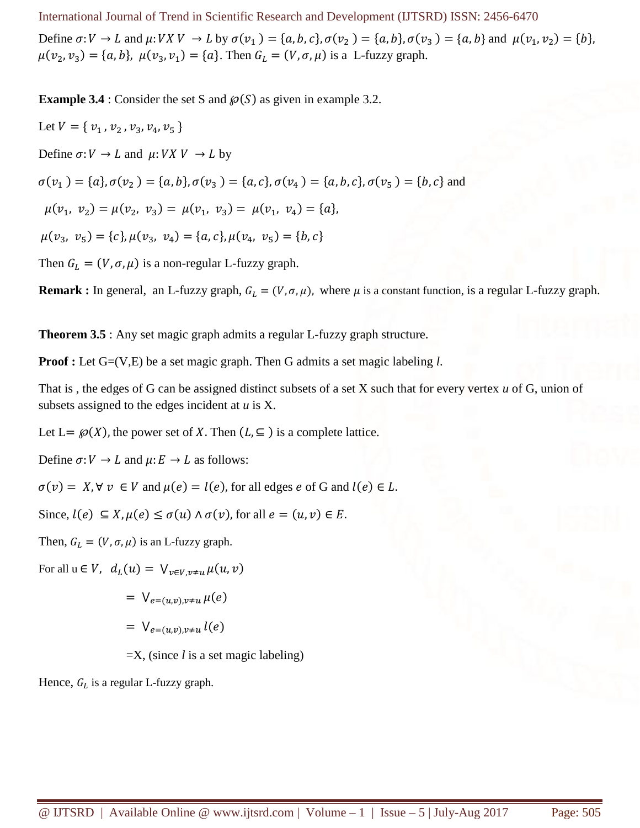International Journal of Trend in Scientific Research and Development (IJTSRD) ISSN: 2456-6470 Define  $\sigma: V \to L$  and  $\mu: V X V \to L$  by  $\sigma(v_1) = \{a, b, c\}, \sigma(v_2) = \{a, b\}, \sigma(v_3) = \{a, b\}$  and  $\mu(v_1, v_2) = \{b\},$  $\mu(v_2, v_3) = \{a, b\}, \ \mu(v_3, v_1) = \{a\}.$  Then  $G_L = (V, \sigma, \mu)$  is a L-fuzzy graph.

**Example 3.4** : Consider the set S and  $\mathcal{P}(S)$  as given in example 3.2.

Let  $V = \{ v_1, v_2, v_3, v_4, v_5 \}$ Define  $\sigma: V \to L$  and  $\mu: V X V \to L$  by  $\sigma(v_1) = \{a\}, \sigma(v_2) = \{a, b\}, \sigma(v_3) = \{a, c\}, \sigma(v_4) = \{a, b, c\}, \sigma(v_5) = \{b, c\}$  and  $\mu(v_1, v_2) = \mu(v_2, v_3) = \mu(v_1, v_3) = \mu(v_1, v_4) = \{a\},\$  $\mu(v_3, v_5) = \{c\}, \mu(v_3, v_4) = \{a, c\}, \mu(v_4, v_5) = \{b, c\}$ Then  $G_L = (V, \sigma, \mu)$  is a non-regular L-fuzzy graph.

**Remark :** In general, an L-fuzzy graph,  $G_L = (V, \sigma, \mu)$ , where  $\mu$  is a constant function, is a regular L-fuzzy graph.

**Theorem 3.5** : Any set magic graph admits a regular L-fuzzy graph structure.

**Proof :** Let G=(V,E) be a set magic graph. Then G admits a set magic labeling *l*.

That is , the edges of G can be assigned distinct subsets of a set X such that for every vertex *u* of G, union of subsets assigned to the edges incident at *u* is X.

Let L=  $\mathcal{P}(X)$ , the power set of X. Then  $(L, \subseteq)$  is a complete lattice.

Define  $\sigma: V \to L$  and  $\mu: E \to L$  as follows:

 $\sigma(v) = X$ ,  $\forall v \in V$  and  $\mu(e) = l(e)$ , for all edges e of G and  $l(e) \in L$ .

Since,  $l(e) \subseteq X, \mu(e) \leq \sigma(u) \wedge \sigma(v)$ , for all  $e = (u, v) \in E$ .

Then,  $G_L = (V, \sigma, \mu)$  is an L-fuzzy graph.

For all  $u \in V$ ,  $d_L(u) = \bigvee_{v \in V, v \neq u} \mu(u, v)$ 

$$
= \bigvee_{e=(u,v),v\neq u} \mu(e)
$$

$$
= \bigvee_{e=(u,v),v\neq u} l(e)
$$

=X, (since *l* is a set magic labeling)

Hence,  $G_L$  is a regular L-fuzzy graph.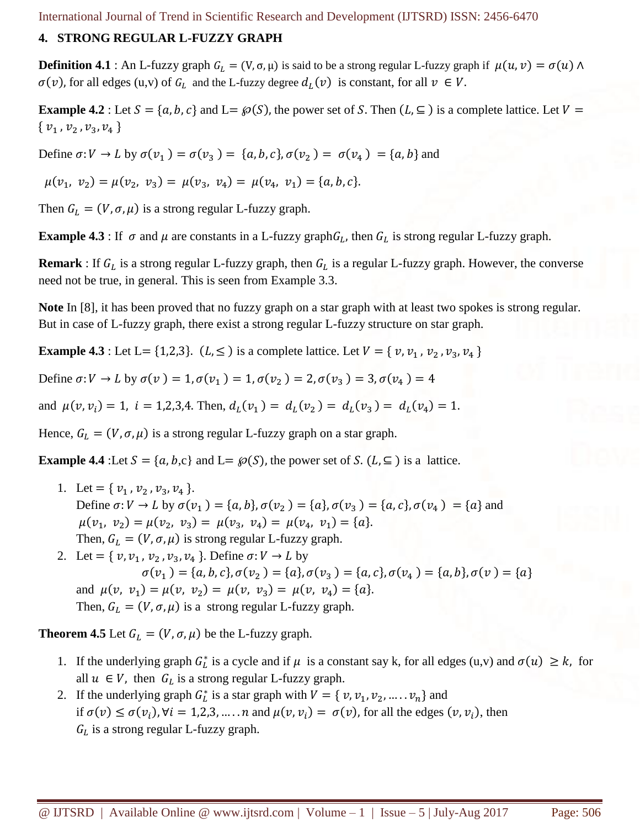#### **4. STRONG REGULAR L-FUZZY GRAPH**

**Definition 4.1** : An L-fuzzy graph  $G_L = (V, \sigma, \mu)$  is said to be a strong regular L-fuzzy graph if  $\mu(u, v) = \sigma(u) \wedge$  $\sigma(v)$ , for all edges (u,v) of  $G_L$  and the L-fuzzy degree  $d_L(v)$  is constant, for all  $v \in V$ .

**Example 4.2** : Let  $S = \{a, b, c\}$  and  $L = \wp(S)$ , the power set of S. Then  $(L, \subseteq)$  is a complete lattice. Let  $V =$  $\{v_1, v_2, v_3, v_4\}$ 

Define  $\sigma: V \to L$  by  $\sigma(v_1) = \sigma(v_3) = \{a, b, c\}, \sigma(v_2) = \sigma(v_4) = \{a, b\}$  and

$$
\mu(v_1, v_2) = \mu(v_2, v_3) = \mu(v_3, v_4) = \mu(v_4, v_1) = \{a, b, c\}.
$$

Then  $G_L = (V, \sigma, \mu)$  is a strong regular L-fuzzy graph.

**Example 4.3** : If  $\sigma$  and  $\mu$  are constants in a L-fuzzy graph  $G_L$ , then  $G_L$  is strong regular L-fuzzy graph.

**Remark** : If  $G_L$  is a strong regular L-fuzzy graph, then  $G_L$  is a regular L-fuzzy graph. However, the converse need not be true, in general. This is seen from Example 3.3.

**Note** In [8], it has been proved that no fuzzy graph on a star graph with at least two spokes is strong regular. But in case of L-fuzzy graph, there exist a strong regular L-fuzzy structure on star graph.

**Example 4.3** : Let L = {1,2,3}. ( $L \leq$ ) is a complete lattice. Let  $V = \{ v, v_1, v_2, v_3, v_4 \}$ 

Define  $\sigma: V \to L$  by  $\sigma(v) = 1, \sigma(v_1) = 1, \sigma(v_2) = 2, \sigma(v_3) = 3, \sigma(v_4) = 4$ 

and  $\mu(v, v_i) = 1$ ,  $i = 1, 2, 3, 4$ . Then,  $d_L(v_1) = d_L(v_2) = d_L(v_3) = d_L(v_4) = 1$ .

Hence,  $G_L = (V, \sigma, \mu)$  is a strong regular L-fuzzy graph on a star graph.

**Example 4.4** :Let  $S = \{a, b, c\}$  and  $L = \mathcal{P}(S)$ , the power set of S.  $(L, \subseteq)$  is a lattice.

- 1. Let = { $v_1$ ,  $v_2$ ,  $v_3$ ,  $v_4$  }. Define  $\sigma: V \to L$  by  $\sigma(v_1) = \{a, b\}, \sigma(v_2) = \{a\}, \sigma(v_3) = \{a, c\}, \sigma(v_4) = \{a\}$  and  $\mu(v_1, v_2) = \mu(v_2, v_3) = \mu(v_3, v_4) = \mu(v_4, v_1) = \{a\}.$ Then,  $G_L = (V, \sigma, \mu)$  is strong regular L-fuzzy graph.
- 2. Let = { $v, v_1, v_2, v_3, v_4$  }. Define  $\sigma: V \rightarrow L$  by  $\sigma(v_1) = \{a, b, c\}, \sigma(v_2) = \{a\}, \sigma(v_3) = \{a, c\}, \sigma(v_4) = \{a, b\}, \sigma(v) = \{a\}$ and  $\mu(v, v_1) = \mu(v, v_2) = \mu(v, v_3) = \mu(v, v_4) = \{a\}.$ Then,  $G_L = (V, \sigma, \mu)$  is a strong regular L-fuzzy graph.

**Theorem 4.5** Let  $G_L = (V, \sigma, \mu)$  be the L-fuzzy graph.

- 1. If the underlying graph  $G_L^*$  is a cycle and if  $\mu$  is a constant say k, for all edges (u,v) and  $\sigma(u) \geq k$ , for all  $u \in V$ , then  $G_L$  is a strong regular L-fuzzy graph.
- 2. If the underlying graph  $G_L^*$  is a star graph with  $V = \{ v, v_1, v_2, ..., v_n \}$  and if  $\sigma(v) \leq \sigma(v_i)$ ,  $\forall i = 1,2,3,...,n$  and  $\mu(v, v_i) = \sigma(v)$ , for all the edges  $(v, v_i)$ , then  $G_L$  is a strong regular L-fuzzy graph.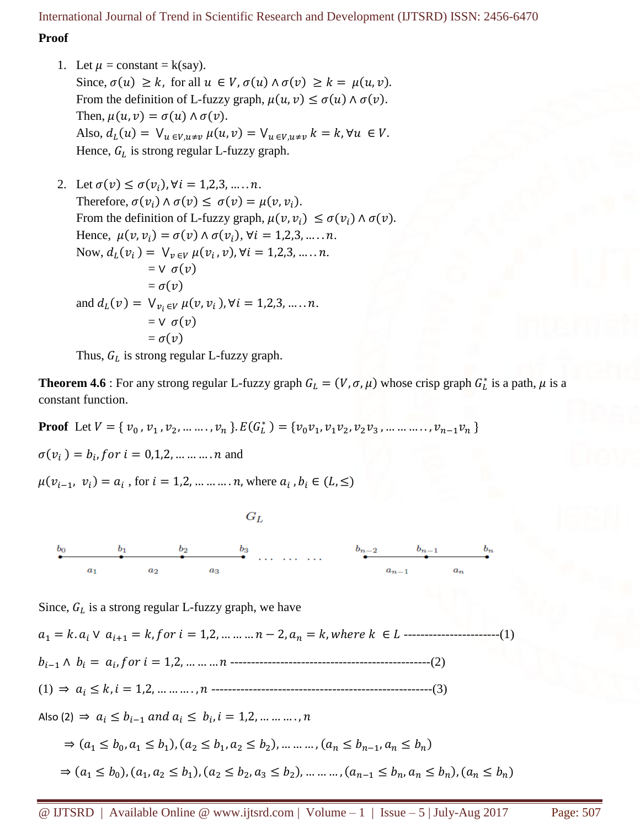### **Proof**

1. Let  $\mu$  = constant = k(say). Since,  $\sigma(u) \geq k$ , for all  $u \in V$ ,  $\sigma(u) \wedge \sigma(v) \geq k = \mu(u, v)$ . From the definition of L-fuzzy graph,  $\mu(u, v) \leq \sigma(u) \wedge \sigma(v)$ . Then,  $\mu(u, v) = \sigma(u) \wedge \sigma(v)$ . Also,  $d_L(u) = \bigvee_{u \in V, u \neq v} \mu(u, v) = \bigvee_{u \in V, u \neq v} k = k, \forall u \in V.$ Hence,  $G_L$  is strong regular L-fuzzy graph.

2. Let  $\sigma(v) \leq \sigma(v_i)$ ,  $\forall i = 1, 2, 3, \dots, n$ . Therefore,  $\sigma(v_i) \wedge \sigma(v) \leq \sigma(v) = \mu(v, v_i)$ . From the definition of L-fuzzy graph,  $\mu(v, v_i) \leq \sigma(v_i) \wedge \sigma(v)$ . Hence,  $\mu(v, v_i) = \sigma(v) \wedge \sigma(v_i)$ ,  $\forall i = 1, 2, 3, \dots, n$ . Now,  $d_L(v_i) = V_{v_i} \mu(v_i, v), \forall i = 1, 2, 3, \dots, n$ .  $=$   $\vee$   $\sigma$  $(v)$  $= \sigma(v)$ and  $d_L(v) = \bigvee_{v_i \in V} \mu(v, v_i)$ ,  $\forall i = 1, 2, 3, ..., n$ .  $=$   $\vee$   $\sigma(v)$  $= \sigma(v)$ 

Thus,  $G_L$  is strong regular L-fuzzy graph.

**Theorem 4.6** : For any strong regular L-fuzzy graph  $G_L = (V, \sigma, \mu)$  whose crisp graph  $G_L^*$  is a path,  $\mu$  is a constant function.

**Proof** Let  $V = \{v_0, v_1, v_2, ..., v_n\}$ .  $E(G_L^*) = \{v_0v_1, v_1v_2, v_2v_3, ..., ..., v_{n-1}v_n\}$ 

 $\sigma(v_i) = b_i$ , f or  $i = 0, 1, 2, \dots \dots \dots n$  and

 $\mu(v_{i-1}, v_i) = a_i$ , for  $i = 1, 2, ..., ..., n$ , where  $a_i$ ,  $b_i \in (L, ≤)$ 

 $G_L$ 



Since,  $G_L$  is a strong regular L-fuzzy graph, we have

<sup>1</sup> = . ∨ +1 = , = 1,2, … … … − 2, = , ℎ ∈ -----------------------(1) −1 ∧ = , = 1,2, … … … ------------------------------------------------(2) (1) ⇒ ≤ , = 1,2, … … … . , -----------------------------------------------------(3) Also (2)  $\Rightarrow a_i \leq b_{i-1}$  and  $a_i \leq b_i$ ,  $i = 1, 2, ..., ..., n$  $\Rightarrow$   $(a_1 \le b_0, a_1 \le b_1), (a_2 \le b_1, a_2 \le b_2), \dots \dots \dots, (a_n \le b_{n-1}, a_n \le b_n)$  $\Rightarrow$   $(a_1 \le b_0)$ ,  $(a_1, a_2 \le b_1)$ ,  $(a_2 \le b_2, a_3 \le b_2)$ , ... ... ...,  $(a_{n-1} \le b_n, a_n \le b_n)$ ,  $(a_n \le b_n)$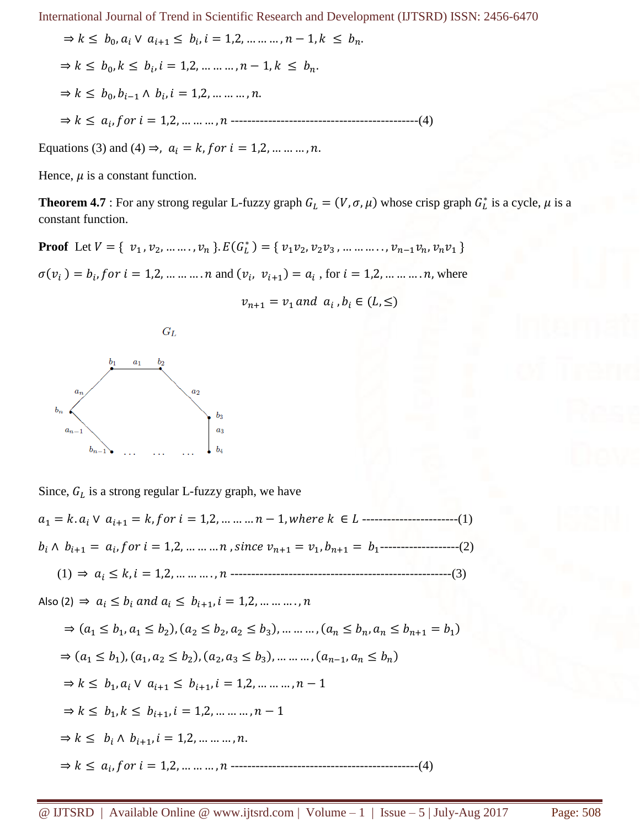$$
\Rightarrow k \leq b_0, a_i \lor a_{i+1} \leq b_i, i = 1, 2, \dots, n-1, k \leq b_n.
$$
  

$$
\Rightarrow k \leq b_0, k \leq b_i, i = 1, 2, \dots, n-1, k \leq b_n.
$$
  

$$
\Rightarrow k \leq b_0, b_{i-1} \land b_i, i = 1, 2, \dots, n.
$$
  

$$
\Rightarrow k \leq a_i, \text{for } i = 1, 2, \dots, n \text{ ...}
$$

Equations (3) and (4)  $\Rightarrow$ ,  $a_i = k$ , f or  $i = 1, 2, ... ... ...$ , n.

Hence,  $\mu$  is a constant function.

**Theorem 4.7** : For any strong regular L-fuzzy graph  $G_L = (V, \sigma, \mu)$  whose crisp graph  $G_L^*$  is a cycle,  $\mu$  is a constant function.

**Proof** Let  $V = \{ v_1, v_2, \dots, v_n \}$ .  $E(G_L^*) = \{ v_1 v_2, v_2 v_3, \dots, v_{n-1} v_n, v_n v_1 \}$ 

 $\sigma(v_i) = b_i$ , for  $i = 1, 2, ..., ..., n$  and  $(v_i, v_{i+1}) = a_i$ , for  $i = 1, 2, ..., ..., n$ , where

 $v_{n+1} = v_1$  and  $a_i$ ,  $b_i \in (L, \leq)$ 



Since,  $G_L$  is a strong regular L-fuzzy graph, we have <sup>1</sup> = . ∨ +1 = , = 1,2, … … … − 1, ℎ ∈ -----------------------(1)  $b_i \wedge b_{i+1} = a_i$ , for  $i = 1, 2, ..., ..., n$ , since  $v_{n+1} = v_1, b_{n+1} = b_1$ --------------------(2) (1) ⇒ ≤ , = 1,2, … … … . , -----------------------------------------------------(3) Also (2)  $\Rightarrow a_i \leq b_i$  and  $a_i \leq b_{i+1}, i = 1, 2, ..., ..., n$  $\Rightarrow$   $(a_1 \le b_1, a_1 \le b_2), (a_2 \le b_2, a_2 \le b_3), \dots \dots \dots (a_n \le b_n, a_n \le b_{n+1} = b_1)$  $\Rightarrow$   $(a_1 \le b_1), (a_1, a_2 \le b_2), (a_2, a_3 \le b_3), \dots \dots \dots, (a_{n-1}, a_n \le b_n)$  $\Rightarrow k \le b_1, a_i \vee a_{i+1} \le b_{i+1}, i = 1, 2, \dots, n-1$  $\Rightarrow k \le b_1, k \le b_{i+1}, i = 1, 2, \dots \dots \dots, n-1$  $\Rightarrow k \leq b_i \wedge b_{i+1}, i = 1, 2, \dots \dots \dots, n.$ ⇒ ≤ , = 1,2, … … … , ---------------------------------------------(4)